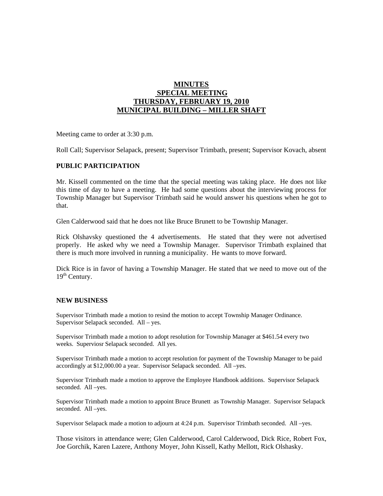## **MINUTES SPECIAL MEETING THURSDAY, FEBRUARY 19, 2010 MUNICIPAL BUILDING – MILLER SHAFT**

Meeting came to order at 3:30 p.m.

Roll Call; Supervisor Selapack, present; Supervisor Trimbath, present; Supervisor Kovach, absent

## **PUBLIC PARTICIPATION**

Mr. Kissell commented on the time that the special meeting was taking place. He does not like this time of day to have a meeting. He had some questions about the interviewing process for Township Manager but Supervisor Trimbath said he would answer his questions when he got to that.

Glen Calderwood said that he does not like Bruce Brunett to be Township Manager.

Rick Olshavsky questioned the 4 advertisements. He stated that they were not advertised properly. He asked why we need a Township Manager. Supervisor Trimbath explained that there is much more involved in running a municipality. He wants to move forward.

Dick Rice is in favor of having a Township Manager. He stated that we need to move out of the  $19<sup>th</sup>$  Century.

## **NEW BUSINESS**

Supervisor Trimbath made a motion to resind the motion to accept Township Manager Ordinance. Supervisor Selapack seconded. All – yes.

Supervisor Trimbath made a motion to adopt resolution for Township Manager at \$461.54 every two weeks. Superviosr Selapack seconded. All yes.

Supervisor Trimbath made a motion to accept resolution for payment of the Township Manager to be paid accordingly at \$12,000.00 a year. Supervisor Selapack seconded. All –yes.

Supervisor Trimbath made a motion to approve the Employee Handbook additions. Supervisor Selapack seconded. All –yes.

Supervisor Trimbath made a motion to appoint Bruce Brunett as Township Manager. Supervisor Selapack seconded. All –yes.

Supervisor Selapack made a motion to adjourn at 4:24 p.m. Supervisor Trimbath seconded. All –yes.

Those visitors in attendance were; Glen Calderwood, Carol Calderwood, Dick Rice, Robert Fox, Joe Gorchik, Karen Lazere, Anthony Moyer, John Kissell, Kathy Mellott, Rick Olshasky.